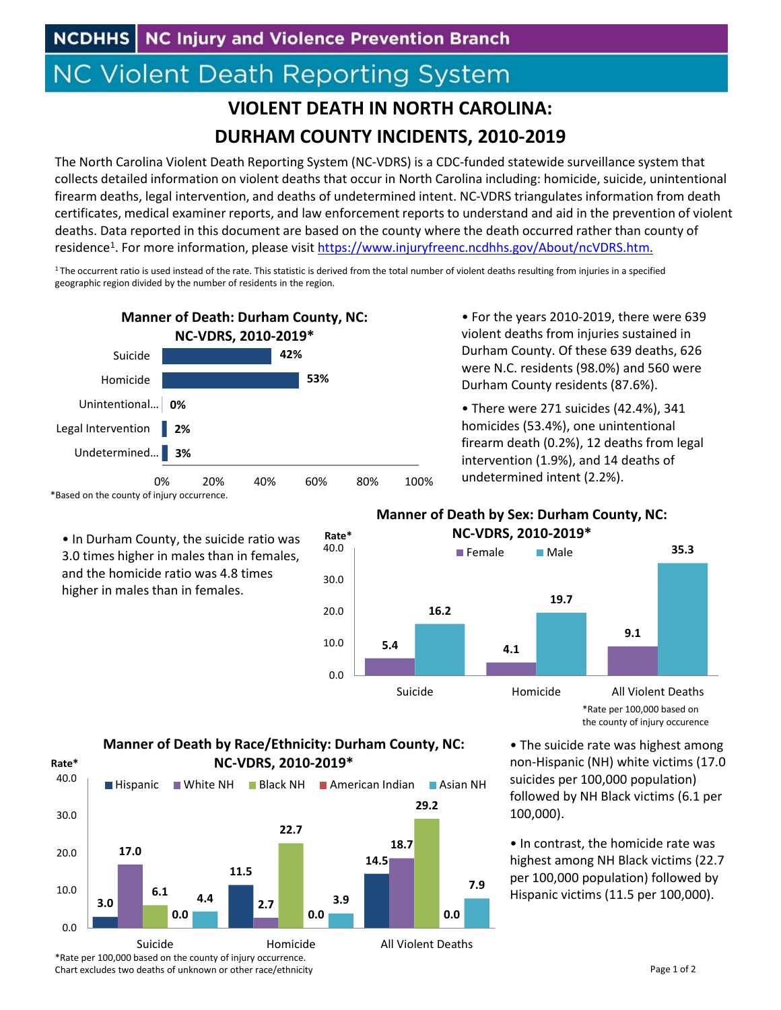# **NC Violent Death Reporting System**

## **VIOLENT DEATH IN NORTH CAROLINA: DURHAM COUNTY INCIDENTS, 2010‐2019**

The North Carolina Violent Death Reporting System (NC‐VDRS) is a CDC‐funded statewide surveillance system that collects detailed information on violent deaths that occur in North Carolina including: homicide, suicide, unintentional firearm deaths, legal intervention, and deaths of undetermined intent. NC‐VDRS triangulates information from death certificates, medical examiner reports, and law enforcement reports to understand and aid in the prevention of violent deaths. Data reported in this document are based on the county where the death occurred rather than county of residence<sup>1</sup>. For more information, please visit https://www.injuryfreenc.ncdhhs.gov/About/ncVDRS.htm.

<sup>1</sup>The occurrent ratio is used instead of the rate. This statistic is derived from the total number of violent deaths resulting from injuries in a specified geographic region divided by the number of residents in the region.



• In Durham County, the suicide ratio was 3.0 times higher in males than in females, and the homicide ratio was 4.8 times higher in males than in females.

• For the years 2010‐2019, there were 639 violent deaths from injuries sustained in Durham County. Of these 639 deaths, 626 were N.C. residents (98.0%) and 560 were Durham County residents (87.6%).

• There were 271 suicides (42.4%), 341 homicides (53.4%), one unintentional firearm death (0.2%), 12 deaths from legal intervention (1.9%), and 14 deaths of undetermined intent (2.2%).

### **Manner of Death by Sex: Durham County, NC: NC‐VDRS, 2010‐2019\***



\*Rate per 100,000 based on the county of injury occurence

• The suicide rate was highest among non‐Hispanic (NH) white victims (17.0 suicides per 100,000 population) followed by NH Black victims (6.1 per 100,000).

• In contrast, the homicide rate was highest among NH Black victims (22.7 per 100,000 population) followed by Hispanic victims (11.5 per 100,000).



\*Rate per 100,000 based on the county of injury occurrence. Chart excludes two deaths of unknown or other race/ethnicity

### Page 1 of 2